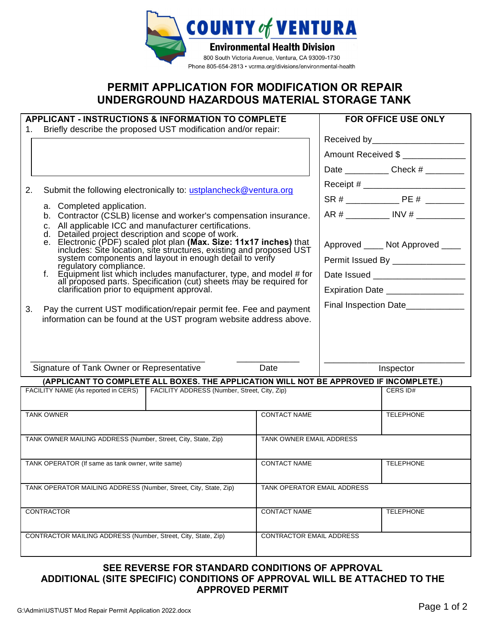

## **PERMIT APPLICATION FOR MODIFICATION OR REPAIR UNDERGROUND HAZARDOUS MATERIAL STORAGE TANK**

| <b>APPLICANT - INSTRUCTIONS &amp; INFORMATION TO COMPLETE</b>                          |                                                                                                                                                                                                                                                                                                                                                                                                                                                                                                   |                                                                                                                                                                   |                             | <b>FOR OFFICE USE ONLY</b>              |                                         |  |
|----------------------------------------------------------------------------------------|---------------------------------------------------------------------------------------------------------------------------------------------------------------------------------------------------------------------------------------------------------------------------------------------------------------------------------------------------------------------------------------------------------------------------------------------------------------------------------------------------|-------------------------------------------------------------------------------------------------------------------------------------------------------------------|-----------------------------|-----------------------------------------|-----------------------------------------|--|
| 1.                                                                                     | Briefly describe the proposed UST modification and/or repair:                                                                                                                                                                                                                                                                                                                                                                                                                                     |                                                                                                                                                                   |                             |                                         |                                         |  |
|                                                                                        |                                                                                                                                                                                                                                                                                                                                                                                                                                                                                                   |                                                                                                                                                                   |                             | Received by _______________________     |                                         |  |
|                                                                                        |                                                                                                                                                                                                                                                                                                                                                                                                                                                                                                   |                                                                                                                                                                   |                             |                                         | Amount Received \$                      |  |
|                                                                                        |                                                                                                                                                                                                                                                                                                                                                                                                                                                                                                   |                                                                                                                                                                   |                             |                                         | Date _______________ Check # __________ |  |
| 2.                                                                                     |                                                                                                                                                                                                                                                                                                                                                                                                                                                                                                   |                                                                                                                                                                   |                             |                                         |                                         |  |
|                                                                                        | Submit the following electronically to: ustplancheck@ventura.org<br>a. Completed application.<br>b. Contractor (CSLB) license and worker's compensation insurance.<br>All applicable ICC and manufacturer certifications.<br>C.<br>Detailed project description and scope of work.<br>d.<br>e. Electronic (PDF) scaled plot plan (Max. Size: 11x17 inches) that<br>includes: Site location, site structures, existing and proposed UST<br>system components and layout in enough detail to verify |                                                                                                                                                                   |                             |                                         |                                         |  |
|                                                                                        |                                                                                                                                                                                                                                                                                                                                                                                                                                                                                                   |                                                                                                                                                                   |                             |                                         | AR # ___________ INV # ___________      |  |
|                                                                                        |                                                                                                                                                                                                                                                                                                                                                                                                                                                                                                   |                                                                                                                                                                   |                             |                                         |                                         |  |
|                                                                                        |                                                                                                                                                                                                                                                                                                                                                                                                                                                                                                   |                                                                                                                                                                   |                             |                                         |                                         |  |
|                                                                                        |                                                                                                                                                                                                                                                                                                                                                                                                                                                                                                   |                                                                                                                                                                   |                             | Approved ____ Not Approved ____         |                                         |  |
|                                                                                        |                                                                                                                                                                                                                                                                                                                                                                                                                                                                                                   | regulatory compliance.<br>Equipment list which includes manufacturer, type, and model # for<br>all proposed parts. Specification (cut) sheets may be required for |                             |                                         | Permit Issued By ________________       |  |
|                                                                                        |                                                                                                                                                                                                                                                                                                                                                                                                                                                                                                   |                                                                                                                                                                   |                             |                                         |                                         |  |
|                                                                                        | clarification prior to equipment approval.                                                                                                                                                                                                                                                                                                                                                                                                                                                        |                                                                                                                                                                   |                             | Expiration Date _________________       |                                         |  |
| 3.                                                                                     | Pay the current UST modification/repair permit fee. Fee and payment                                                                                                                                                                                                                                                                                                                                                                                                                               |                                                                                                                                                                   |                             | Final Inspection Date___________        |                                         |  |
|                                                                                        | information can be found at the UST program website address above.                                                                                                                                                                                                                                                                                                                                                                                                                                |                                                                                                                                                                   |                             |                                         |                                         |  |
|                                                                                        |                                                                                                                                                                                                                                                                                                                                                                                                                                                                                                   |                                                                                                                                                                   |                             |                                         |                                         |  |
|                                                                                        |                                                                                                                                                                                                                                                                                                                                                                                                                                                                                                   |                                                                                                                                                                   |                             |                                         |                                         |  |
| Signature of Tank Owner or Representative                                              |                                                                                                                                                                                                                                                                                                                                                                                                                                                                                                   | Date                                                                                                                                                              |                             |                                         |                                         |  |
| (APPLICANT TO COMPLETE ALL BOXES. THE APPLICATION WILL NOT BE APPROVED IF INCOMPLETE.) |                                                                                                                                                                                                                                                                                                                                                                                                                                                                                                   |                                                                                                                                                                   |                             | Inspector                               |                                         |  |
| FACILITY NAME (As reported in CERS) FACILITY ADDRESS (Number, Street, City, Zip)       |                                                                                                                                                                                                                                                                                                                                                                                                                                                                                                   |                                                                                                                                                                   |                             | CERS ID#                                |                                         |  |
|                                                                                        |                                                                                                                                                                                                                                                                                                                                                                                                                                                                                                   |                                                                                                                                                                   |                             |                                         |                                         |  |
| <b>TANK OWNER</b>                                                                      |                                                                                                                                                                                                                                                                                                                                                                                                                                                                                                   | <b>CONTACT NAME</b>                                                                                                                                               |                             | <b>TELEPHONE</b>                        |                                         |  |
|                                                                                        |                                                                                                                                                                                                                                                                                                                                                                                                                                                                                                   |                                                                                                                                                                   |                             |                                         |                                         |  |
| TANK OWNER MAILING ADDRESS (Number, Street, City, State, Zip)                          |                                                                                                                                                                                                                                                                                                                                                                                                                                                                                                   |                                                                                                                                                                   | TANK OWNER EMAIL ADDRESS    |                                         |                                         |  |
|                                                                                        |                                                                                                                                                                                                                                                                                                                                                                                                                                                                                                   |                                                                                                                                                                   |                             | <b>CONTACT NAME</b><br><b>TELEPHONE</b> |                                         |  |
| TANK OPERATOR (If same as tank owner, write same)                                      |                                                                                                                                                                                                                                                                                                                                                                                                                                                                                                   |                                                                                                                                                                   |                             |                                         |                                         |  |
| TANK OPERATOR MAILING ADDRESS (Number, Street, City, State, Zip)                       |                                                                                                                                                                                                                                                                                                                                                                                                                                                                                                   |                                                                                                                                                                   | TANK OPERATOR EMAIL ADDRESS |                                         |                                         |  |
|                                                                                        |                                                                                                                                                                                                                                                                                                                                                                                                                                                                                                   |                                                                                                                                                                   |                             |                                         |                                         |  |
| <b>CONTRACTOR</b>                                                                      |                                                                                                                                                                                                                                                                                                                                                                                                                                                                                                   |                                                                                                                                                                   | <b>CONTACT NAME</b>         | <b>TELEPHONE</b>                        |                                         |  |
|                                                                                        |                                                                                                                                                                                                                                                                                                                                                                                                                                                                                                   |                                                                                                                                                                   |                             |                                         |                                         |  |
| CONTRACTOR MAILING ADDRESS (Number, Street, City, State, Zip)                          |                                                                                                                                                                                                                                                                                                                                                                                                                                                                                                   |                                                                                                                                                                   | CONTRACTOR EMAIL ADDRESS    |                                         |                                         |  |
|                                                                                        |                                                                                                                                                                                                                                                                                                                                                                                                                                                                                                   |                                                                                                                                                                   |                             |                                         |                                         |  |

## **SEE REVERSE FOR STANDARD CONDITIONS OF APPROVAL ADDITIONAL (SITE SPECIFIC) CONDITIONS OF APPROVAL WILL BE ATTACHED TO THE APPROVED PERMIT**